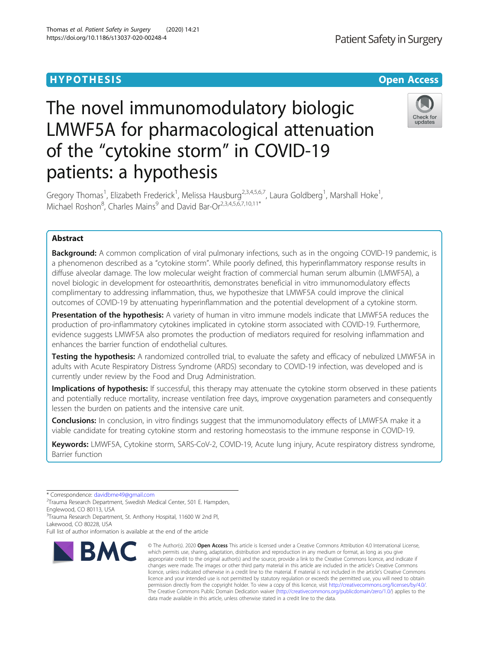## **HYPOTHESIS CONSUMING A SIMULATION CONSUMING A SIMULATION COPEN ACCESS**

# The novel immunomodulatory biologic LMWF5A for pharmacological attenuation of the "cytokine storm" in COVID-19 patients: a hypothesis

Gregory Thomas<sup>1</sup>, Elizabeth Frederick<sup>1</sup>, Melissa Hausburg<sup>2,3,4,5,6,7</sup>, Laura Goldberg<sup>1</sup>, Marshall Hoke<sup>1</sup> , Michael Roshon<sup>8</sup>, Charles Mains<sup>9</sup> and David Bar-Or<sup>2,3,4,5,6,7,10,11\*</sup>

## Abstract

**Background:** A common complication of viral pulmonary infections, such as in the ongoing COVID-19 pandemic, is a phenomenon described as a "cytokine storm". While poorly defined, this hyperinflammatory response results in diffuse alveolar damage. The low molecular weight fraction of commercial human serum albumin (LMWF5A), a novel biologic in development for osteoarthritis, demonstrates beneficial in vitro immunomodulatory effects complimentary to addressing inflammation, thus, we hypothesize that LMWF5A could improve the clinical outcomes of COVID-19 by attenuating hyperinflammation and the potential development of a cytokine storm.

Presentation of the hypothesis: A variety of human in vitro immune models indicate that LMWF5A reduces the production of pro-inflammatory cytokines implicated in cytokine storm associated with COVID-19. Furthermore, evidence suggests LMWF5A also promotes the production of mediators required for resolving inflammation and enhances the barrier function of endothelial cultures.

**Testing the hypothesis:** A randomized controlled trial, to evaluate the safety and efficacy of nebulized LMWF5A in adults with Acute Respiratory Distress Syndrome (ARDS) secondary to COVID-19 infection, was developed and is currently under review by the Food and Drug Administration.

Implications of hypothesis: If successful, this therapy may attenuate the cytokine storm observed in these patients and potentially reduce mortality, increase ventilation free days, improve oxygenation parameters and consequently lessen the burden on patients and the intensive care unit.

**Conclusions:** In conclusion, in vitro findings suggest that the immunomodulatory effects of LMWF5A make it a viable candidate for treating cytokine storm and restoring homeostasis to the immune response in COVID-19.

Keywords: LMWF5A, Cytokine storm, SARS-CoV-2, COVID-19, Acute lung injury, Acute respiratory distress syndrome, Barrier function

\* Correspondence: [davidbme49@gmail.com](mailto:davidbme49@gmail.com) <sup>2</sup>

<sup>2</sup>Trauma Research Department, Swedish Medical Center, 501 E. Hampden, Englewood, CO 80113, USA

<sup>3</sup>Trauma Research Department, St. Anthony Hospital, 11600 W 2nd Pl, Lakewood, CO 80228, USA

Full list of author information is available at the end of the article



<sup>©</sup> The Author(s), 2020 **Open Access** This article is licensed under a Creative Commons Attribution 4.0 International License, which permits use, sharing, adaptation, distribution and reproduction in any medium or format, as long as you give appropriate credit to the original author(s) and the source, provide a link to the Creative Commons licence, and indicate if changes were made. The images or other third party material in this article are included in the article's Creative Commons licence, unless indicated otherwise in a credit line to the material. If material is not included in the article's Creative Commons licence and your intended use is not permitted by statutory regulation or exceeds the permitted use, you will need to obtain permission directly from the copyright holder. To view a copy of this licence, visit [http://creativecommons.org/licenses/by/4.0/.](http://creativecommons.org/licenses/by/4.0/) The Creative Commons Public Domain Dedication waiver [\(http://creativecommons.org/publicdomain/zero/1.0/](http://creativecommons.org/publicdomain/zero/1.0/)) applies to the data made available in this article, unless otherwise stated in a credit line to the data.



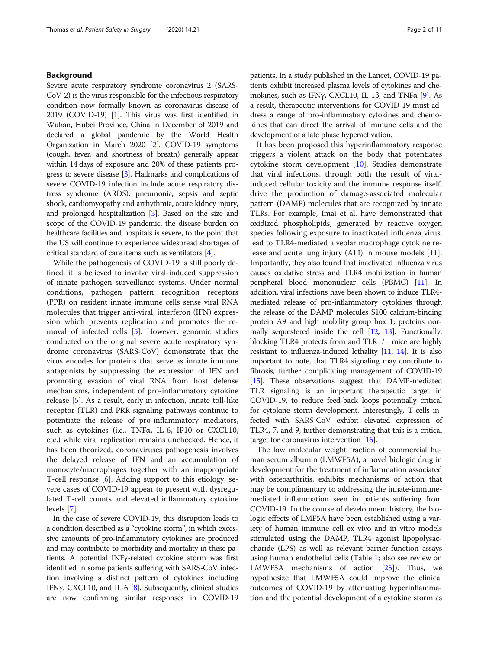## Background

Severe acute respiratory syndrome coronavirus 2 (SARS-CoV-2) is the virus responsible for the infectious respiratory condition now formally known as coronavirus disease of 2019 (COVID-19) [[1](#page-9-0)]. This virus was first identified in Wuhan, Hubei Province, China in December of 2019 and declared a global pandemic by the World Health Organization in March 2020 [[2](#page-9-0)]. COVID-19 symptoms (cough, fever, and shortness of breath) generally appear within 14 days of exposure and 20% of these patients progress to severe disease [\[3\]](#page-9-0). Hallmarks and complications of severe COVID-19 infection include acute respiratory distress syndrome (ARDS), pneumonia, sepsis and septic shock, cardiomyopathy and arrhythmia, acute kidney injury, and prolonged hospitalization [\[3\]](#page-9-0). Based on the size and scope of the COVID-19 pandemic, the disease burden on healthcare facilities and hospitals is severe, to the point that the US will continue to experience widespread shortages of critical standard of care items such as ventilators [\[4\]](#page-9-0).

While the pathogenesis of COVID-19 is still poorly defined, it is believed to involve viral-induced suppression of innate pathogen surveillance systems. Under normal conditions, pathogen pattern recognition receptors (PPR) on resident innate immune cells sense viral RNA molecules that trigger anti-viral, interferon (IFN) expression which prevents replication and promotes the removal of infected cells [\[5](#page-9-0)]. However, genomic studies conducted on the original severe acute respiratory syndrome coronavirus (SARS-CoV) demonstrate that the virus encodes for proteins that serve as innate immune antagonists by suppressing the expression of IFN and promoting evasion of viral RNA from host defense mechanisms, independent of pro-inflammatory cytokine release [[5\]](#page-9-0). As a result, early in infection, innate toll-like receptor (TLR) and PRR signaling pathways continue to potentiate the release of pro-inflammatory mediators, such as cytokines (i.e., TNFα, IL-6, IP10 or CXCL10, etc.) while viral replication remains unchecked. Hence, it has been theorized, coronaviruses pathogenesis involves the delayed release of IFN and an accumulation of monocyte/macrophages together with an inappropriate T-cell response [\[6](#page-9-0)]. Adding support to this etiology, severe cases of COVID-19 appear to present with dysregulated T-cell counts and elevated inflammatory cytokine levels [[7\]](#page-9-0).

In the case of severe COVID-19, this disruption leads to a condition described as a "cytokine storm", in which excessive amounts of pro-inflammatory cytokines are produced and may contribute to morbidity and mortality in these patients. A potential INFγ-related cytokine storm was first identified in some patients suffering with SARS-CoV infection involving a distinct pattern of cytokines including IFN $\gamma$ , CXCL10, and IL-6 [\[8](#page-9-0)]. Subsequently, clinical studies are now confirming similar responses in COVID-19 patients. In a study published in the Lancet, COVID-19 patients exhibit increased plasma levels of cytokines and chemokines, such as IFNγ, CXCL10, IL-1β, and TNFα [\[9\]](#page-9-0). As a result, therapeutic interventions for COVID-19 must address a range of pro-inflammatory cytokines and chemokines that can direct the arrival of immune cells and the development of a late phase hyperactivation.

It has been proposed this hyperinflammatory response triggers a violent attack on the body that potentiates cytokine storm development [\[10](#page-9-0)]. Studies demonstrate that viral infections, through both the result of viralinduced cellular toxicity and the immune response itself, drive the production of damage-associated molecular pattern (DAMP) molecules that are recognized by innate TLRs. For example, Imai et al. have demonstrated that oxidized phospholipids, generated by reactive oxygen species following exposure to inactivated influenza virus, lead to TLR4-mediated alveolar macrophage cytokine release and acute lung injury (ALI) in mouse models [\[11](#page-9-0)]. Importantly, they also found that inactivated influenza virus causes oxidative stress and TLR4 mobilization in human peripheral blood mononuclear cells (PBMC) [\[11\]](#page-9-0). In addition, viral infections have been shown to induce TLR4 mediated release of pro-inflammatory cytokines through the release of the DAMP molecules S100 calcium-binding protein A9 and high mobility group box 1; proteins normally sequestered inside the cell [\[12,](#page-9-0) [13\]](#page-9-0). Functionally, blocking TLR4 protects from and TLR−/− mice are highly resistant to influenza-induced lethality [\[11,](#page-9-0) [14\]](#page-9-0). It is also important to note, that TLR4 signaling may contribute to fibrosis, further complicating management of COVID-19 [[15](#page-9-0)]. These observations suggest that DAMP-mediated TLR signaling is an important therapeutic target in COVID-19, to reduce feed-back loops potentially critical for cytokine storm development. Interestingly, T-cells infected with SARS-CoV exhibit elevated expression of TLR4, 7, and 9, further demonstrating that this is a critical target for coronavirus intervention [\[16\]](#page-9-0).

The low molecular weight fraction of commercial human serum albumin (LMWF5A), a novel biologic drug in development for the treatment of inflammation associated with osteoarthritis, exhibits mechanisms of action that may be complimentary to addressing the innate-immunemediated inflammation seen in patients suffering from COVID-19. In the course of development history, the biologic effects of LMF5A have been established using a variety of human immune cell ex vivo and in vitro models stimulated using the DAMP, TLR4 agonist lipopolysaccharide (LPS) as well as relevant barrier-function assays using human endothelial cells (Table [1;](#page-2-0) also see review on LMWF5A mechanisms of action [\[25\]](#page-9-0)). Thus, we hypothesize that LMWF5A could improve the clinical outcomes of COVID-19 by attenuating hyperinflammation and the potential development of a cytokine storm as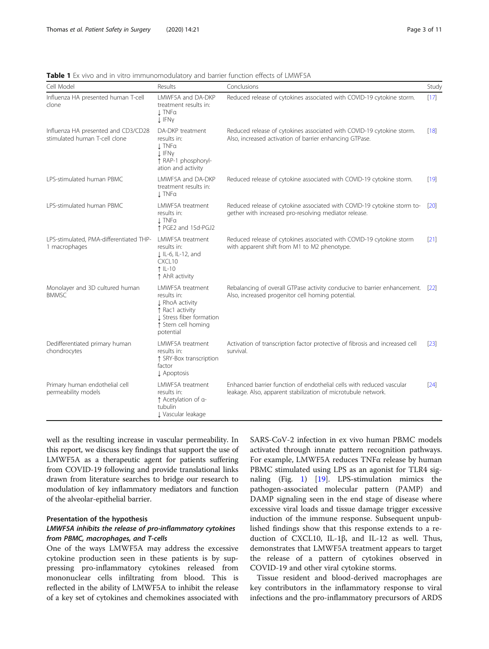| Cell Model                                                           | Results                                                                                                                              | Conclusions                                                                                                                           | Study       |
|----------------------------------------------------------------------|--------------------------------------------------------------------------------------------------------------------------------------|---------------------------------------------------------------------------------------------------------------------------------------|-------------|
| Influenza HA presented human T-cell<br>clone                         | LMWF5A and DA-DKP<br>treatment results in:<br><b>J</b> TNFa<br>↓ IFNy                                                                | Reduced release of cytokines associated with COVID-19 cytokine storm.                                                                 | [17]        |
| Influenza HA presented and CD3/CD28<br>stimulated human T-cell clone | DA-DKP treatment<br>results in:<br><b>L</b> TNFα<br><b>J</b> IFNy<br>↑ RAP-1 phosphoryl-<br>ation and activity                       | Reduced release of cytokines associated with COVID-19 cytokine storm.<br>Also, increased activation of barrier enhancing GTPase.      | $[18]$      |
| LPS-stimulated human PBMC                                            | LMWF5A and DA-DKP<br>treatment results in:<br>$\perp$ TNF $\alpha$                                                                   | Reduced release of cytokine associated with COVID-19 cytokine storm.                                                                  | $[19]$      |
| LPS-stimulated human PBMC                                            | LMWF5A treatment<br>results in:<br>1 TNFa<br>↑ PGE2 and 15d-PGJ2                                                                     | Reduced release of cytokine associated with COVID-19 cytokine storm to-<br>gether with increased pro-resolving mediator release.      | $\sqrt{20}$ |
| LPS-stimulated, PMA-differentiated THP-<br>1 macrophages             | LMWF5A treatment<br>results in:<br>J IL-6, IL-12, and<br>CXCL10<br>↑ IL-10<br>↑ AhR activity                                         | Reduced release of cytokines associated with COVID-19 cytokine storm<br>with apparent shift from M1 to M2 phenotype.                  | [21]        |
| Monolayer and 3D cultured human<br><b>BMMSC</b>                      | LMWF5A treatment<br>results in:<br>J RhoA activity<br>↑ Rac1 activity<br>J Stress fiber formation<br>↑ Stem cell homing<br>potential | Rebalancing of overall GTPase activity conducive to barrier enhancement. [22]<br>Also, increased progenitor cell homing potential.    |             |
| Dedifferentiated primary human<br>chondrocytes                       | LMWF5A treatment<br>results in:<br>↑ SRY-Box transcription<br>factor<br>$\downarrow$ Apoptosis                                       | Activation of transcription factor protective of fibrosis and increased cell<br>survival.                                             | [23]        |
| Primary human endothelial cell<br>permeability models                | LMWF5A treatment<br>results in:<br>↑ Acetylation of a-<br>tubulin<br>J Vascular leakage                                              | Enhanced barrier function of endothelial cells with reduced vascular<br>leakage. Also, apparent stabilization of microtubule network. | [24]        |

<span id="page-2-0"></span>Table 1 Ex vivo and in vitro immunomodulatory and barrier function effects of LMWF5A

well as the resulting increase in vascular permeability. In this report, we discuss key findings that support the use of LMWF5A as a therapeutic agent for patients suffering from COVID-19 following and provide translational links drawn from literature searches to bridge our research to modulation of key inflammatory mediators and function of the alveolar-epithelial barrier.

## Presentation of the hypothesis

## LMWF5A inhibits the release of pro-inflammatory cytokines from PBMC, macrophages, and T-cells

One of the ways LMWF5A may address the excessive cytokine production seen in these patients is by suppressing pro-inflammatory cytokines released from mononuclear cells infiltrating from blood. This is reflected in the ability of LMWF5A to inhibit the release of a key set of cytokines and chemokines associated with SARS-CoV-2 infection in ex vivo human PBMC models activated through innate pattern recognition pathways. For example, LMWF5A reduces TNFα release by human PBMC stimulated using LPS as an agonist for TLR4 signaling (Fig. [1](#page-3-0)) [[19\]](#page-9-0). LPS-stimulation mimics the pathogen-associated molecular pattern (PAMP) and DAMP signaling seen in the end stage of disease where excessive viral loads and tissue damage trigger excessive induction of the immune response. Subsequent unpublished findings show that this response extends to a reduction of CXCL10, IL-1β, and IL-12 as well. Thus, demonstrates that LMWF5A treatment appears to target the release of a pattern of cytokines observed in COVID-19 and other viral cytokine storms.

Tissue resident and blood-derived macrophages are key contributors in the inflammatory response to viral infections and the pro-inflammatory precursors of ARDS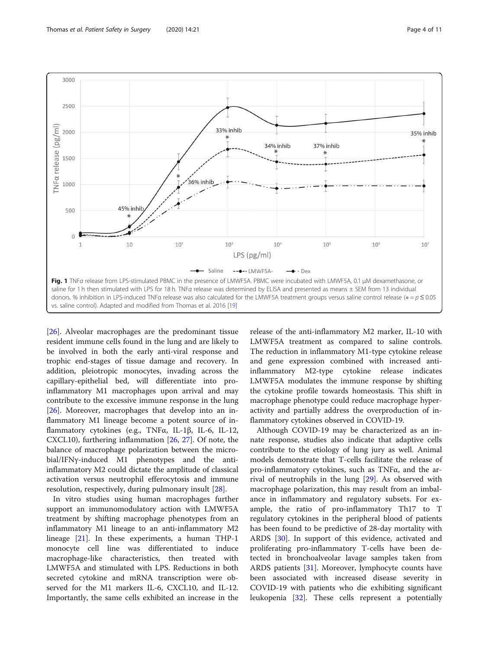<span id="page-3-0"></span>

[[26\]](#page-9-0). Alveolar macrophages are the predominant tissue resident immune cells found in the lung and are likely to be involved in both the early anti-viral response and trophic end-stages of tissue damage and recovery. In addition, pleiotropic monocytes, invading across the capillary-epithelial bed, will differentiate into proinflammatory M1 macrophages upon arrival and may contribute to the excessive immune response in the lung [[26\]](#page-9-0). Moreover, macrophages that develop into an inflammatory M1 lineage become a potent source of inflammatory cytokines (e.g., TNFα, IL-1β, IL-6, IL-12, CXCL10), furthering inflammation [\[26](#page-9-0), [27\]](#page-9-0). Of note, the balance of macrophage polarization between the microbial/IFNγ-induced M1 phenotypes and the antiinflammatory M2 could dictate the amplitude of classical activation versus neutrophil efferocytosis and immune resolution, respectively, during pulmonary insult [\[28](#page-9-0)].

In vitro studies using human macrophages further support an immunomodulatory action with LMWF5A treatment by shifting macrophage phenotypes from an inflammatory M1 lineage to an anti-inflammatory M2 lineage [[21](#page-9-0)]. In these experiments, a human THP-1 monocyte cell line was differentiated to induce macrophage-like characteristics, then treated with LMWF5A and stimulated with LPS. Reductions in both secreted cytokine and mRNA transcription were observed for the M1 markers IL-6, CXCL10, and IL-12. Importantly, the same cells exhibited an increase in the

release of the anti-inflammatory M2 marker, IL-10 with LMWF5A treatment as compared to saline controls. The reduction in inflammatory M1-type cytokine release and gene expression combined with increased antiinflammatory M2-type cytokine release indicates LMWF5A modulates the immune response by shifting the cytokine profile towards homeostasis. This shift in macrophage phenotype could reduce macrophage hyperactivity and partially address the overproduction of inflammatory cytokines observed in COVID-19.

Although COVID-19 may be characterized as an innate response, studies also indicate that adaptive cells contribute to the etiology of lung jury as well. Animal models demonstrate that T-cells facilitate the release of pro-inflammatory cytokines, such as TNFα, and the arrival of neutrophils in the lung [\[29](#page-9-0)]. As observed with macrophage polarization, this may result from an imbalance in inflammatory and regulatory subsets. For example, the ratio of pro-inflammatory Th17 to T regulatory cytokines in the peripheral blood of patients has been found to be predictive of 28-day mortality with ARDS [[30\]](#page-9-0). In support of this evidence, activated and proliferating pro-inflammatory T-cells have been detected in bronchoalveolar lavage samples taken from ARDS patients [[31\]](#page-9-0). Moreover, lymphocyte counts have been associated with increased disease severity in COVID-19 with patients who die exhibiting significant leukopenia [\[32](#page-9-0)]. These cells represent a potentially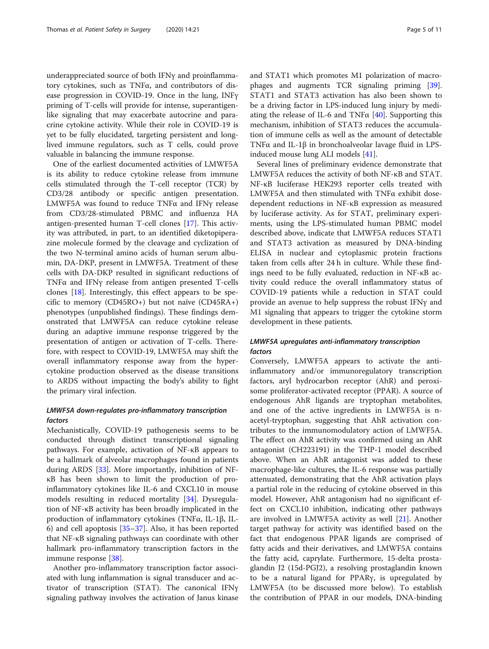underappreciated source of both IFNγ and proinflammatory cytokines, such as TNFα, and contributors of disease progression in COVID-19. Once in the lung, INFγ priming of T-cells will provide for intense, superantigenlike signaling that may exacerbate autocrine and paracrine cytokine activity. While their role in COVID-19 is yet to be fully elucidated, targeting persistent and longlived immune regulators, such as T cells, could prove valuable in balancing the immune response.

One of the earliest documented activities of LMWF5A is its ability to reduce cytokine release from immune cells stimulated through the T-cell receptor (TCR) by CD3/28 antibody or specific antigen presentation. LMWF5A was found to reduce TNFα and IFNγ release from CD3/28-stimulated PBMC and influenza HA antigen-presented human T-cell clones [[17\]](#page-9-0). This activity was attributed, in part, to an identified diketopiperazine molecule formed by the cleavage and cyclization of the two N-terminal amino acids of human serum albumin, DA-DKP, present in LMWF5A. Treatment of these cells with DA-DKP resulted in significant reductions of TNFα and IFNγ release from antigen presented T-cells clones [[18\]](#page-9-0). Interestingly, this effect appears to be specific to memory (CD45RO+) but not naïve (CD45RA+) phenotypes (unpublished findings). These findings demonstrated that LMWF5A can reduce cytokine release during an adaptive immune response triggered by the presentation of antigen or activation of T-cells. Therefore, with respect to COVID-19, LMWF5A may shift the overall inflammatory response away from the hypercytokine production observed as the disease transitions to ARDS without impacting the body's ability to fight the primary viral infection.

## LMWF5A down-regulates pro-inflammatory transcription factors

Mechanistically, COVID-19 pathogenesis seems to be conducted through distinct transcriptional signaling pathways. For example, activation of NF-κB appears to be a hallmark of alveolar macrophages found in patients during ARDS [[33\]](#page-9-0). More importantly, inhibition of NFκB has been shown to limit the production of proinflammatory cytokines like IL-6 and CXCL10 in mouse models resulting in reduced mortality [[34](#page-9-0)]. Dysregulation of NF-κB activity has been broadly implicated in the production of inflammatory cytokines (TNFα, IL-1β, IL-6) and cell apoptosis [[35](#page-9-0)–[37](#page-10-0)]. Also, it has been reported that NF-κB signaling pathways can coordinate with other hallmark pro-inflammatory transcription factors in the immune response [[38](#page-10-0)].

Another pro-inflammatory transcription factor associated with lung inflammation is signal transducer and activator of transcription (STAT). The canonical IFNγ signaling pathway involves the activation of Janus kinase and STAT1 which promotes M1 polarization of macrophages and augments TCR signaling priming [\[39](#page-10-0)]. STAT1 and STAT3 activation has also been shown to be a driving factor in LPS-induced lung injury by mediating the release of IL-6 and TNF $\alpha$  [[40](#page-10-0)]. Supporting this mechanism, inhibition of STAT3 reduces the accumulation of immune cells as well as the amount of detectable TNFα and IL-1β in bronchoalveolar lavage fluid in LPSinduced mouse lung ALI models [[41\]](#page-10-0).

Several lines of preliminary evidence demonstrate that LMWF5A reduces the activity of both NF-κB and STAT. NF-κB luciferase HEK293 reporter cells treated with LMWF5A and then stimulated with TNFα exhibit dosedependent reductions in NF-κB expression as measured by luciferase activity. As for STAT, preliminary experiments, using the LPS-stimulated human PBMC model described above, indicate that LMWF5A reduces STAT1 and STAT3 activation as measured by DNA-binding ELISA in nuclear and cytoplasmic protein fractions taken from cells after 24 h in culture. While these findings need to be fully evaluated, reduction in NF-κB activity could reduce the overall inflammatory status of COVID-19 patients while a reduction in STAT could provide an avenue to help suppress the robust IFNγ and M1 signaling that appears to trigger the cytokine storm development in these patients.

## LMWF5A upregulates anti-inflammatory transcription factors

Conversely, LMWF5A appears to activate the antiinflammatory and/or immunoregulatory transcription factors, aryl hydrocarbon receptor (AhR) and peroxisome proliferator-activated receptor (PPAR). A source of endogenous AhR ligands are tryptophan metabolites, and one of the active ingredients in LMWF5A is nacetyl-tryptophan, suggesting that AhR activation contributes to the immunomodulatory action of LMWF5A. The effect on AhR activity was confirmed using an AhR antagonist (CH223191) in the THP-1 model described above. When an AhR antagonist was added to these macrophage-like cultures, the IL-6 response was partially attenuated, demonstrating that the AhR activation plays a partial role in the reducing of cytokine observed in this model. However, AhR antagonism had no significant effect on CXCL10 inhibition, indicating other pathways are involved in LMWF5A activity as well [\[21](#page-9-0)]. Another target pathway for activity was identified based on the fact that endogenous PPAR ligands are comprised of fatty acids and their derivatives, and LMWF5A contains the fatty acid, caprylate. Furthermore, 15-delta prostaglandin J2 (15d-PGJ2), a resolving prostaglandin known to be a natural ligand for PPARγ, is upregulated by LMWF5A (to be discussed more below). To establish the contribution of PPAR in our models, DNA-binding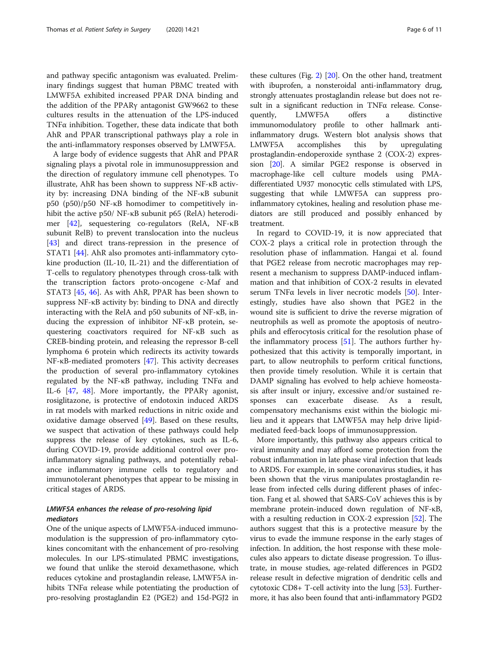and pathway specific antagonism was evaluated. Preliminary findings suggest that human PBMC treated with LMWF5A exhibited increased PPAR DNA binding and the addition of the PPARγ antagonist GW9662 to these cultures results in the attenuation of the LPS-induced TNFα inhibition. Together, these data indicate that both AhR and PPAR transcriptional pathways play a role in the anti-inflammatory responses observed by LMWF5A.

A large body of evidence suggests that AhR and PPAR signaling plays a pivotal role in immunosuppression and the direction of regulatory immune cell phenotypes. To illustrate, AhR has been shown to suppress NF-κB activity by: increasing DNA binding of the NF-κB subunit p50 (p50)/p50 NF-κB homodimer to competitively inhibit the active p50/ NF-κB subunit p65 (RelA) heterodimer [[42](#page-10-0)], sequestering co-regulators (RelA, NF-κB subunit RelB) to prevent translocation into the nucleus [[43\]](#page-10-0) and direct trans-repression in the presence of STAT1 [[44\]](#page-10-0). AhR also promotes anti-inflammatory cytokine production (IL-10, IL-21) and the differentiation of T-cells to regulatory phenotypes through cross-talk with the transcription factors proto-oncogene c-Maf and STAT3 [\[45,](#page-10-0) [46](#page-10-0)]. As with AhR, PPAR has been shown to suppress NF-κB activity by: binding to DNA and directly interacting with the RelA and p50 subunits of NF-κB, inducing the expression of inhibitor NF-κB protein, sequestering coactivators required for NF-κB such as CREB-binding protein, and releasing the repressor B-cell lymphoma 6 protein which redirects its activity towards NF-κB-mediated promoters [[47\]](#page-10-0). This activity decreases the production of several pro-inflammatory cytokines regulated by the NF-κB pathway, including TNFα and IL-6 [[47,](#page-10-0) [48\]](#page-10-0). More importantly, the PPARγ agonist, rosiglitazone, is protective of endotoxin induced ARDS in rat models with marked reductions in nitric oxide and oxidative damage observed [[49\]](#page-10-0). Based on these results, we suspect that activation of these pathways could help suppress the release of key cytokines, such as IL-6, during COVID-19, provide additional control over proinflammatory signaling pathways, and potentially rebalance inflammatory immune cells to regulatory and immunotolerant phenotypes that appear to be missing in critical stages of ARDS.

## LMWF5A enhances the release of pro-resolving lipid mediators

One of the unique aspects of LMWF5A-induced immunomodulation is the suppression of pro-inflammatory cytokines concomitant with the enhancement of pro-resolving molecules. In our LPS-stimulated PBMC investigations, we found that unlike the steroid dexamethasone, which reduces cytokine and prostaglandin release, LMWF5A inhibits TNFα release while potentiating the production of pro-resolving prostaglandin E2 (PGE2) and 15d-PGJ2 in

these cultures (Fig. [2](#page-6-0)) [[20\]](#page-9-0). On the other hand, treatment with ibuprofen, a nonsteroidal anti-inflammatory drug, strongly attenuates prostaglandin release but does not result in a significant reduction in TNFα release. Consequently, LMWF5A offers a distinctive immunomodulatory profile to other hallmark antiinflammatory drugs. Western blot analysis shows that LMWF5A accomplishes this by upregulating prostaglandin-endoperoxide synthase 2 (COX-2) expression [[20](#page-9-0)]. A similar PGE2 response is observed in macrophage-like cell culture models using PMAdifferentiated U937 monocytic cells stimulated with LPS, suggesting that while LMWF5A can suppress proinflammatory cytokines, healing and resolution phase mediators are still produced and possibly enhanced by treatment.

In regard to COVID-19, it is now appreciated that COX-2 plays a critical role in protection through the resolution phase of inflammation. Hangai et al. found that PGE2 release from necrotic macrophages may represent a mechanism to suppress DAMP-induced inflammation and that inhibition of COX-2 results in elevated serum TNFα levels in liver necrotic models [[50\]](#page-10-0). Interestingly, studies have also shown that PGE2 in the wound site is sufficient to drive the reverse migration of neutrophils as well as promote the apoptosis of neutrophils and efferocytosis critical for the resolution phase of the inflammatory process [\[51](#page-10-0)]. The authors further hypothesized that this activity is temporally important, in part, to allow neutrophils to perform critical functions, then provide timely resolution. While it is certain that DAMP signaling has evolved to help achieve homeostasis after insult or injury, excessive and/or sustained responses can exacerbate disease. As a result, compensatory mechanisms exist within the biologic milieu and it appears that LMWF5A may help drive lipidmediated feed-back loops of immunosuppression.

More importantly, this pathway also appears critical to viral immunity and may afford some protection from the robust inflammation in late phase viral infection that leads to ARDS. For example, in some coronavirus studies, it has been shown that the virus manipulates prostaglandin release from infected cells during different phases of infection. Fang et al. showed that SARS-CoV achieves this is by membrane protein-induced down regulation of NF-κB, with a resulting reduction in COX-2 expression [[52](#page-10-0)]. The authors suggest that this is a protective measure by the virus to evade the immune response in the early stages of infection. In addition, the host response with these molecules also appears to dictate disease progression. To illustrate, in mouse studies, age-related differences in PGD2 release result in defective migration of dendritic cells and cytotoxic CD8+ T-cell activity into the lung [\[53\]](#page-10-0). Furthermore, it has also been found that anti-inflammatory PGD2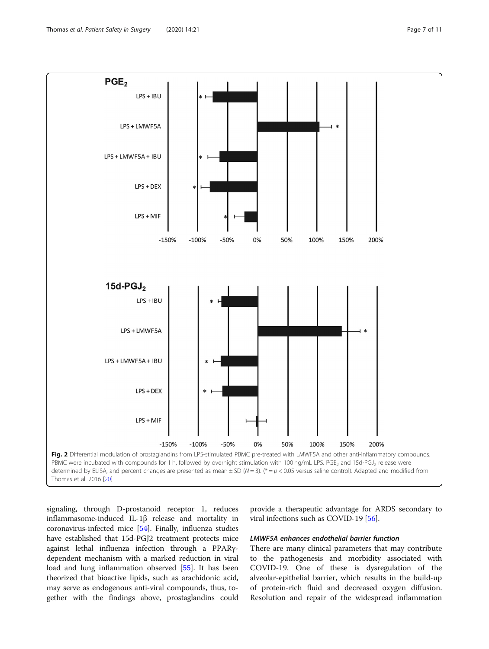<span id="page-6-0"></span>

signaling, through D-prostanoid receptor 1, reduces inflammasome-induced IL-1β release and mortality in coronavirus-infected mice [\[54\]](#page-10-0). Finally, influenza studies have established that 15d-PGJ2 treatment protects mice against lethal influenza infection through a PPARγdependent mechanism with a marked reduction in viral load and lung inflammation observed [[55](#page-10-0)]. It has been theorized that bioactive lipids, such as arachidonic acid, may serve as endogenous anti-viral compounds, thus, together with the findings above, prostaglandins could

provide a therapeutic advantage for ARDS secondary to viral infections such as COVID-19 [[56](#page-10-0)].

## LMWF5A enhances endothelial barrier function

There are many clinical parameters that may contribute to the pathogenesis and morbidity associated with COVID-19. One of these is dysregulation of the alveolar-epithelial barrier, which results in the build-up of protein-rich fluid and decreased oxygen diffusion. Resolution and repair of the widespread inflammation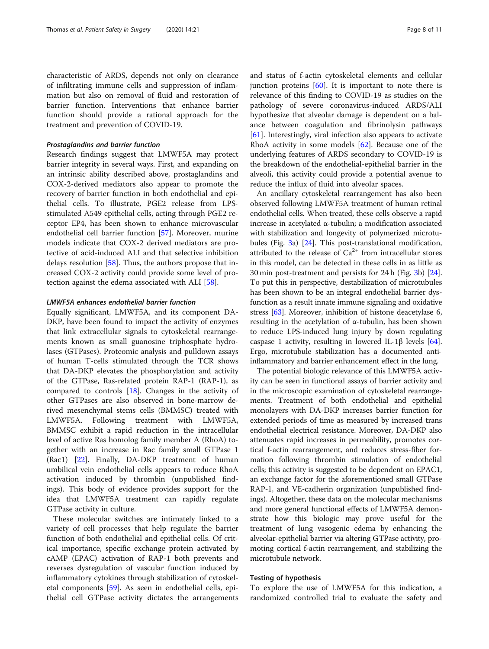characteristic of ARDS, depends not only on clearance of infiltrating immune cells and suppression of inflammation but also on removal of fluid and restoration of barrier function. Interventions that enhance barrier function should provide a rational approach for the treatment and prevention of COVID-19.

## Prostaglandins and barrier function

Research findings suggest that LMWF5A may protect barrier integrity in several ways. First, and expanding on an intrinsic ability described above, prostaglandins and COX-2-derived mediators also appear to promote the recovery of barrier function in both endothelial and epithelial cells. To illustrate, PGE2 release from LPSstimulated A549 epithelial cells, acting through PGE2 receptor EP4, has been shown to enhance microvascular endothelial cell barrier function [\[57\]](#page-10-0). Moreover, murine models indicate that COX-2 derived mediators are protective of acid-induced ALI and that selective inhibition delays resolution [\[58](#page-10-0)]. Thus, the authors propose that increased COX-2 activity could provide some level of protection against the edema associated with ALI [\[58](#page-10-0)].

#### LMWF5A enhances endothelial barrier function

Equally significant, LMWF5A, and its component DA-DKP, have been found to impact the activity of enzymes that link extracellular signals to cytoskeletal rearrangements known as small guanosine triphosphate hydrolases (GTPases). Proteomic analysis and pulldown assays of human T-cells stimulated through the TCR shows that DA-DKP elevates the phosphorylation and activity of the GTPase, Ras-related protein RAP-1 (RAP-1), as compared to controls [\[18](#page-9-0)]. Changes in the activity of other GTPases are also observed in bone-marrow derived mesenchymal stems cells (BMMSC) treated with LMWF5A. Following treatment with LMWF5A, BMMSC exhibit a rapid reduction in the intracellular level of active Ras homolog family member A (RhoA) together with an increase in Rac family small GTPase 1 (Rac1) [[22\]](#page-9-0). Finally, DA-DKP treatment of human umbilical vein endothelial cells appears to reduce RhoA activation induced by thrombin (unpublished findings). This body of evidence provides support for the idea that LMWF5A treatment can rapidly regulate GTPase activity in culture.

These molecular switches are intimately linked to a variety of cell processes that help regulate the barrier function of both endothelial and epithelial cells. Of critical importance, specific exchange protein activated by cAMP (EPAC) activation of RAP-1 both prevents and reverses dysregulation of vascular function induced by inflammatory cytokines through stabilization of cytoskeletal components [[59\]](#page-10-0). As seen in endothelial cells, epithelial cell GTPase activity dictates the arrangements

and status of f-actin cytoskeletal elements and cellular junction proteins  $[60]$  $[60]$ . It is important to note there is relevance of this finding to COVID-19 as studies on the pathology of severe coronavirus-induced ARDS/ALI hypothesize that alveolar damage is dependent on a balance between coagulation and fibrinolysin pathways [[61\]](#page-10-0). Interestingly, viral infection also appears to activate RhoA activity in some models [\[62\]](#page-10-0). Because one of the underlying features of ARDS secondary to COVID-19 is the breakdown of the endothelial-epithelial barrier in the alveoli, this activity could provide a potential avenue to reduce the influx of fluid into alveolar spaces.

An ancillary cytoskeletal rearrangement has also been observed following LMWF5A treatment of human retinal endothelial cells. When treated, these cells observe a rapid increase in acetylated α-tubulin; a modification associated with stabilization and longevity of polymerized microtubules (Fig. [3](#page-8-0)a) [[24](#page-9-0)]. This post-translational modification, attributed to the release of  $Ca^{2+}$  from intracellular stores in this model, can be detected in these cells in as little as 30 min post-treatment and persists for 24 h (Fig. [3](#page-8-0)b) [[24](#page-9-0)]. To put this in perspective, destabilization of microtubules has been shown to be an integral endothelial barrier dysfunction as a result innate immune signaling and oxidative stress [\[63](#page-10-0)]. Moreover, inhibition of histone deacetylase 6, resulting in the acetylation of α-tubulin, has been shown to reduce LPS-induced lung injury by down regulating caspase 1 activity, resulting in lowered IL-1β levels [[64](#page-10-0)]. Ergo, microtubule stabilization has a documented antiinflammatory and barrier enhancement effect in the lung.

The potential biologic relevance of this LMWF5A activity can be seen in functional assays of barrier activity and in the microscopic examination of cytoskeletal rearrangements. Treatment of both endothelial and epithelial monolayers with DA-DKP increases barrier function for extended periods of time as measured by increased trans endothelial electrical resistance. Moreover, DA-DKP also attenuates rapid increases in permeability, promotes cortical f-actin rearrangement, and reduces stress-fiber formation following thrombin stimulation of endothelial cells; this activity is suggested to be dependent on EPAC1, an exchange factor for the aforementioned small GTPase RAP-1, and VE-cadherin organization (unpublished findings). Altogether, these data on the molecular mechanisms and more general functional effects of LMWF5A demonstrate how this biologic may prove useful for the treatment of lung vasogenic edema by enhancing the alveolar-epithelial barrier via altering GTPase activity, promoting cortical f-actin rearrangement, and stabilizing the microtubule network.

### Testing of hypothesis

To explore the use of LMWF5A for this indication, a randomized controlled trial to evaluate the safety and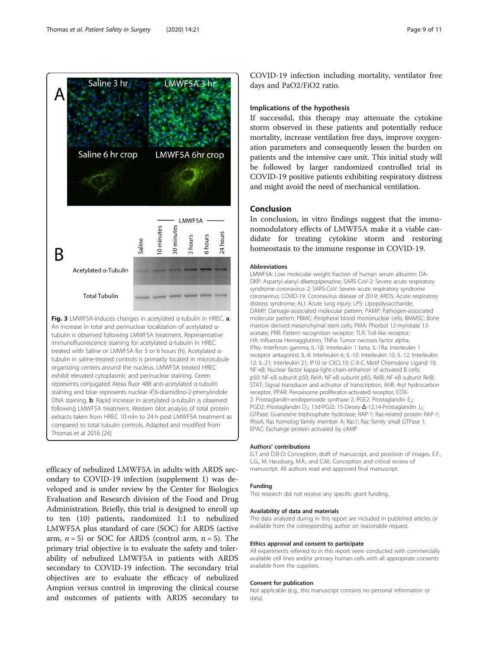<span id="page-8-0"></span>

immunofluorescence staining for acetylated α-tubulin in HREC treated with Saline or LMWF5A for 3 or 6 hours (h). Acetylated αtubulin in saline-treated controls is primarily located in microtubule organizing centers around the nucleus. LMWF5A treated HREC exhibit elevated cytoplasmic and perinuclear staining. Green represents conjugated Alexa fluor 488 anti-acetylated α-tubulin staining and blue represents nuclear 4′,6-diamidino-2-phenylindole DNA staining. b: Rapid increase in acetylated α-tubulin is observed following LMWF5A treatment. Western blot analysis of total protein extracts taken from HREC 10 min to 24 h post LMWF5A treatment as compared to total tubulin controls. Adapted and modified from Thomas et al 2016 [\[24\]](#page-9-0)

efficacy of nebulized LMWF5A in adults with ARDS secondary to COVID-19 infection (supplement 1) was developed and is under review by the Center for Biologics Evaluation and Research division of the Food and Drug Administration. Briefly, this trial is designed to enroll up to ten (10) patients, randomized 1:1 to nebulized LMWF5A plus standard of care (SOC) for ARDS (active arm,  $n = 5$ ) or SOC for ARDS (control arm,  $n = 5$ ). The primary trial objective is to evaluate the safety and tolerability of nebulized LMWF5A in patients with ARDS secondary to COVID-19 infection. The secondary trial objectives are to evaluate the efficacy of nebulized Ampion versus control in improving the clinical course and outcomes of patients with ARDS secondary to

COVID-19 infection including mortality, ventilator free days and PaO2/FiO2 ratio.

## Implications of the hypothesis

If successful, this therapy may attenuate the cytokine storm observed in these patients and potentially reduce mortality, increase ventilation free days, improve oxygenation parameters and consequently lessen the burden on patients and the intensive care unit. This initial study will be followed by larger randomized controlled trial in COVID-19 positive patients exhibiting respiratory distress and might avoid the need of mechanical ventilation.

## Conclusion

In conclusion, in vitro findings suggest that the immunomodulatory effects of LMWF5A make it a viable candidate for treating cytokine storm and restoring homeostasis to the immune response in COVID-19.

#### Abbreviations

LMWF5A: Low molecular weight fraction of human serum albumin; DA-DKP: Aspartyl-alanyl diketopiperazine; SARS-CoV-2: Severe acute respiratory syndrome coronavirus 2; SARS-CoV: Severe acute respiratory syndrome coronavirus; COVID-19: Coronavirus disease of 2019; ARDS: Acute respiratory distress syndrome; ALI: Acute lung injury; LPS: Lipopolysaccharide; DAMP: Damage-associated molecular pattern; PAMP: Pathogen-associated molecular pattern; PBMC: Peripheral blood mononuclear cells; BMMSC: Bone marrow derived mesenchymal stem cells; PMA: Phorbol 12-myristate 13 acetate; PRR: Pattern recognition receptor; TLR: Toll-like receptor; HA: Influenza Hemagglutinin; TNFα: Tumor necrosis factor alpha; IFNγ: Interferon gamma; IL-1β: Interleukin 1 beta; IL-1Ra: Interleukin 1 receptor antagonist; IL-6: Interleukin 6; IL-10: Interleukin 10; IL-12: Interleukin 12; IL-21: Interleukin 21; IP10 or CXCL10: C-X-C Motif Chemokine Ligand 10; NF-κB: Nuclear factor kappa-light-chain-enhancer of activated B cells; p50: NF-κB subunit p50; RelA: NF-κB subunit p65; RelB: NF-κB subunit RelB; STAT: Signal transducer and activator of transcription; AhR: Aryl hydrocarbon receptor; PPAR: Peroxisome proliferator-activated receptor; COX-2: Prostaglandin-endoperoxide synthase 2; PGE2: Prostaglandin E<sub>2</sub>; PGD2: Prostaglandin D<sub>2</sub>; 15d-PGJ2: 15-Deoxy-Δ-12,14-Prostaglandin J<sub>2</sub>; GTPase: Guanosine triphosphate hydrolase; RAP-1: Ras-related protein RAP-1; RhoA: Ras homolog family member A; Rac1: Rac family small GTPase 1; EPAC: Exchange protein activated by cAMP

#### Authors' contributions

G.T and D.B-O: Conception, draft of manuscript, and provision of images. E.F., L.G., M. Hausburg, M.R., and C.M.: Conception and critical review of manuscript. All authors read and approved final manuscript.

#### Funding

This research did not receive any specific grant funding.

#### Availability of data and materials

The data analyzed during in this report are included in published articles or available from the corresponding author on reasonable request.

#### Ethics approval and consent to participate

All experiments referred to in this report were conducted with commercially available cell lines and/or primary human cells with all appropriate consents available from the suppliers.

#### Consent for publication

Not applicable (e.g., this manuscript contains no personal information or data).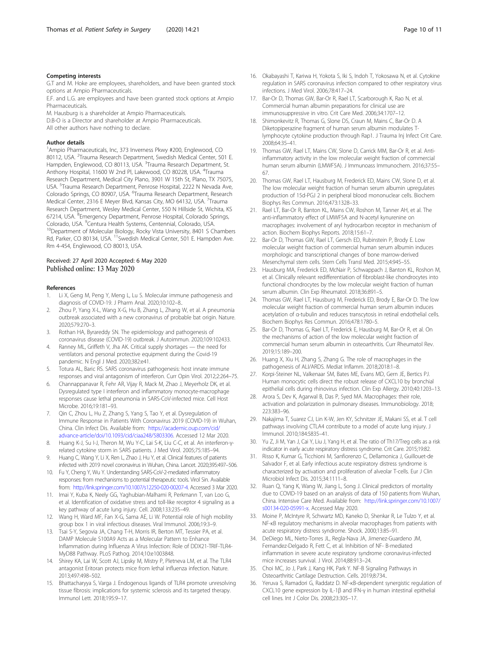#### <span id="page-9-0"></span>Competing interests

G.T and M. Hoke are employees, shareholders, and have been granted stock options at Ampio Pharmaceuticals.

E.F. and L.G. are employees and have been granted stock options at Ampio Pharmaceuticals.

M. Hausburg is a shareholder at Ampio Pharmaceuticals.

D.B-O is a Director and shareholder at Ampio Pharmaceuticals.

All other authors have nothing to declare.

#### Author details

<sup>1</sup> Ampio Pharmaceuticals, Inc, 373 Inverness Pkwy #200, Englewood, CO 80112, USA. <sup>2</sup>Trauma Research Department, Swedish Medical Center, 501 E. Hampden, Englewood, CO 80113, USA. <sup>3</sup>Trauma Research Department, St. Anthony Hospital, 11600 W 2nd Pl, Lakewood, CO 80228, USA. <sup>4</sup>Trauma Research Department, Medical City Plano, 3901 W 15th St, Plano, TX 75075, USA. <sup>5</sup>Trauma Research Department, Penrose Hospital, 2222 N Nevada Ave, Colorado Springs, CO 80907, USA. <sup>6</sup>Trauma Research Department, Research Medical Center, 2316 E Meyer Blvd, Kansas City, MO 64132, USA. <sup>7</sup>Trauma Research Department, Wesley Medical Center, 550 N Hillside St, Wichita, KS 67214, USA. <sup>8</sup>Emergency Department, Penrose Hospital, Colorado Springs, Colorado, USA. <sup>9</sup>Centura Health Systems, Centennial, Colorado, USA. <sup>10</sup>Department of Molecular Biology, Rocky Vista University, 8401 S Chambers Rd, Parker, CO 80134, USA. <sup>11</sup>Swedish Medical Center, 501 E. Hampden Ave. Rm 4-454, Englewood, CO 80013, USA.

#### Received: 27 April 2020 Accepted: 6 May 2020 Published online: 13 May 2020

#### References

- 1. Li X, Geng M, Peng Y, Meng L, Lu S. Molecular immune pathogenesis and diagnosis of COVID-19. J Pharm Anal. 2020;10:102–8..
- 2. Zhou P, Yang X-L, Wang X-G, Hu B, Zhang L, Zhang W, et al. A pneumonia outbreak associated with a new coronavirus of probable bat origin. Nature. 2020;579:270–3.
- 3. Rothan HA, Byrareddy SN. The epidemiology and pathogenesis of coronavirus disease (COVID-19) outbreak. J Autoimmun. 2020;109:102433.
- 4. Ranney ML, Griffeth V, Jha AK. Critical supply shortages the need for ventilators and personal protective equipment during the Covid-19 pandemic. N Engl J Med. 2020;382:e41.
- 5. Totura AL, Baric RS. SARS coronavirus pathogenesis: host innate immune responses and viral antagonism of interferon. Curr Opin Virol. 2012;2:264–75.
- 6. Channappanavar R, Fehr AR, Vijay R, Mack M, Zhao J, Meyerholz DK, et al. Dysregulated type I interferon and inflammatory monocyte-macrophage responses cause lethal pneumonia in SARS-CoV-infected mice. Cell Host Microbe. 2016;19:181–93.
- 7. Qin C, Zhou L, Hu Z, Zhang S, Yang S, Tao Y, et al. Dysregulation of Immune Response in Patients With Coronavirus 2019 (COVID-19) in Wuhan, China. Clin Infect Dis. Available from: [https://academic.oup.com/cid/](https://academic.oup.com/cid/advance-article/doi/10.1093/cid/ciaa248/5803306) [advance-article/doi/10.1093/cid/ciaa248/5803306](https://academic.oup.com/cid/advance-article/doi/10.1093/cid/ciaa248/5803306). Accessed 12 Mar 2020.
- 8. Huang K-J, Su I-J, Theron M, Wu Y-C, Lai S-K, Liu C-C, et al. An interferon-γrelated cytokine storm in SARS patients. J Med Virol. 2005;75:185–94.
- 9. Huang C, Wang Y, Li X, Ren L, Zhao J, Hu Y, et al. Clinical features of patients infected with 2019 novel coronavirus in Wuhan, China. Lancet. 2020;395:497–506.
- 10. Fu Y, Cheng Y, Wu Y. Understanding SARS-CoV-2-mediated inflammatory responses: from mechanisms to potential therapeutic tools. Virol Sin. Available from: [http://link.springer.com/10.1007/s12250-020-00207-4.](http://link.springer.com/10.1007/s12250-020-00207-4) Accessed 3 Mar 2020.
- 11. Imai Y, Kuba K, Neely GG, Yaghubian-Malhami R, Perkmann T, van Loo G, et al. Identification of oxidative stress and toll-like receptor 4 signaling as a key pathway of acute lung injury. Cell. 2008;133:235–49.
- 12. Wang H, Ward MF, Fan X-G, Sama AE, Li W. Potential role of high mobility group box 1 in viral infectious diseases. Viral Immunol. 2006;19:3–9.
- 13. Tsai S-Y, Segovia JA, Chang T-H, Morris IR, Berton MT, Tessier PA, et al. DAMP Molecule S100A9 Acts as a Molecular Pattern to Enhance Inflammation during Influenza A Virus Infection: Role of DDX21-TRIF-TLR4- MyD88 Pathway. PLoS Pathog. 2014;10:e1003848.
- 14. Shirey KA, Lai W, Scott AJ, Lipsky M, Mistry P, Pletneva LM, et al. The TLR4 antagonist Eritoran protects mice from lethal influenza infection. Nature. 2013;497:498–502.
- 15. Bhattacharyya S, Varga J. Endogenous ligands of TLR4 promote unresolving tissue fibrosis: implications for systemic sclerosis and its targeted therapy. Immunol Lett. 2018;195:9–17.
- 16. Okabayashi T, Kariwa H, Yokota S, Iki S, Indoh T, Yokosawa N, et al. Cytokine regulation in SARS coronavirus infection compared to other respiratory virus infections. J Med Virol. 2006;78:417–24.
- 17. Bar-Or D, Thomas GW, Bar-Or R, Rael LT, Scarborough K, Rao N, et al. Commercial human albumin preparations for clinical use are immunosuppressive in vitro. Crit Care Med. 2006;34:1707–12.
- 18. Shimonkevitz R, Thomas G, Slone DS, Craun M, Mains C, Bar-Or D. A Diketopiperazine fragment of human serum albumin modulates Tlymphocyte cytokine production through Rap1. J Trauma Inj Infect Crit Care. 2008;64:35–41.
- 19. Thomas GW, Rael LT, Mains CW, Slone D, Carrick MM, Bar-Or R, et al. Antiinflammatory activity in the low molecular weight fraction of commercial human serum albumin (LMWF5A). J Immunoass Immunochem. 2016;37:55– 67.
- 20. Thomas GW, Rael LT, Hausburg M, Frederick ED, Mains CW, Slone D, et al. The low molecular weight fraction of human serum albumin upregulates production of 15d-PGJ 2 in peripheral blood mononuclear cells. Biochem Biophys Res Commun. 2016;473:1328–33.
- 21. Rael LT, Bar-Or R, Banton KL, Mains CW, Roshon M, Tanner AH, et al. The anti-inflammatory effect of LMWF5A and N-acetyl kynurenine on macrophages: involvement of aryl hydrocarbon receptor in mechanism of action. Biochem Biophys Reports. 2018;15:61–7.
- 22. Bar-Or D, Thomas GW, Rael LT, Gersch ED, Rubinstein P, Brody E. Low molecular weight fraction of commercial human serum albumin induces morphologic and transcriptional changes of bone marrow-derived Mesenchymal stem cells. Stem Cells Transl Med. 2015;4:945–55.
- 23. Hausburg MA, Frederick ED, McNair P, Schwappach J, Banton KL, Roshon M, et al. Clinically relevant redifferentiation of fibroblast-like chondrocytes into functional chondrocytes by the low molecular weight fraction of human serum albumin. Clin Exp Rheumatol. 2018;36:891–5.
- 24. Thomas GW, Rael LT, Hausburg M, Frederick ED, Brody E, Bar-Or D. The low molecular weight fraction of commercial human serum albumin induces acetylation of α-tubulin and reduces transcytosis in retinal endothelial cells. Biochem Biophys Res Commun. 2016;478:1780–5.
- 25. Bar-Or D, Thomas G, Rael LT, Frederick E, Hausburg M, Bar-Or R, et al. On the mechanisms of action of the low molecular weight fraction of commercial human serum albumin in osteoarthritis. Curr Rheumatol Rev. 2019;15:189–200.
- 26. Huang X, Xiu H, Zhang S, Zhang G. The role of macrophages in the pathogenesis of ALI/ARDS. Mediat Inflamm. 2018;2018:1–8.
- 27. Korpi-Steiner NL, Valkenaar SM, Bates ME, Evans MD, Gern JE, Bertics PJ. Human monocytic cells direct the robust release of CXCL10 by bronchial epithelial cells during rhinovirus infection. Clin Exp Allergy. 2010;40:1203–13.
- 28. Arora S, Dev K, Agarwal B, Das P, Syed MA. Macrophages: their role, activation and polarization in pulmonary diseases. Immunobiology. 2018; 223:383–96.
- 29. Nakajima T, Suarez CJ, Lin K-W, Jen KY, Schnitzer JE, Makani SS, et al. T cell pathways involving CTLA4 contribute to a model of acute lung injury. J Immunol. 2010;184:5835–41.
- 30. Yu Z, Ji M, Yan J, Cai Y, Liu J, Yang H, et al. The ratio of Th17/Treg cells as a risk indicator in early acute respiratory distress syndrome. Crit Care. 2015;19:82.
- 31. Risso K, Kumar G, Ticchioni M, Sanfiorenzo C, Dellamonica J, Guillouet-de Salvador F, et al. Early infectious acute respiratory distress syndrome is characterized by activation and proliferation of alveolar T-cells. Eur J Clin Microbiol Infect Dis. 2015;34:1111–8.
- 32. Ruan Q, Yang K, Wang W, Jiang L, Song J. Clinical predictors of mortality due to COVID-19 based on an analysis of data of 150 patients from Wuhan, China. Intensive Care Med. Available from: [http://link.springer.com/10.1007/](http://link.springer.com/10.1007/s00134-020-05991-x) [s00134-020-05991-x.](http://link.springer.com/10.1007/s00134-020-05991-x) Accessed May 2020.
- 33. Moine P, McIntyre R, Schwartz MD, Kaneko D, Shenkar R, Le Tulzo Y, et al. NF-κB regulatory mechanisms in alveolar macrophages from patients with acute respiratory distress syndrome. Shock. 2000;13:85–91.
- 34. DeDiego ML, Nieto-Torres JL, Regla-Nava JA, Jimenez-Guardeno JM, Fernandez-Delgado R, Fett C, et al. Inhibition of NF- B-mediated inflammation in severe acute respiratory syndrome coronavirus-infected mice increases survival. J Virol. 2014;88:913–24.
- 35. Choi MC, Jo J, Park J, Kang HK, Park Y. NF-B Signaling Pathways in Osteoarthritic Cartilage Destruction. Cells. 2019;8:734..
- 36. Yeruva S, Ramadori G, Raddatz D. NF-κB-dependent synergistic regulation of CXCL10 gene expression by IL-1β and IFN-γ in human intestinal epithelial cell lines. Int J Color Dis. 2008;23:305–17.